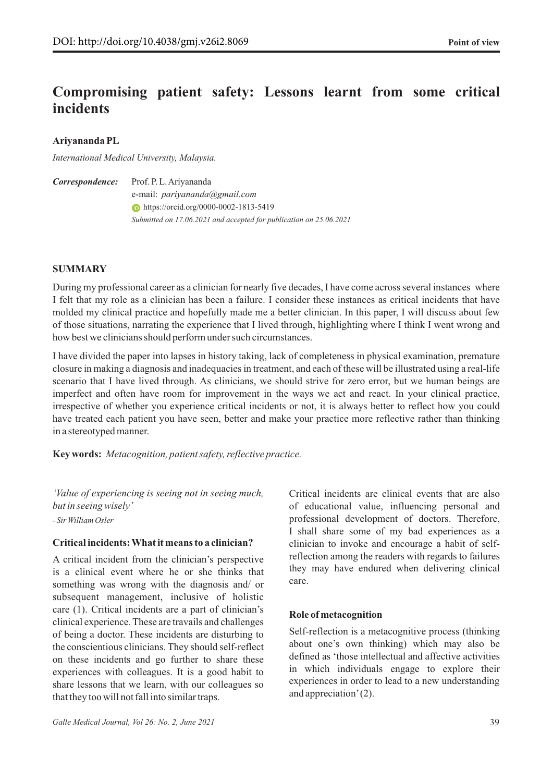# **Compromising patient safety: Lessons learnt from some critical incidents**

**Ariyananda PL**

*International Medical University, Malaysia.*

Prof. P. L. Ariyananda *Correspondence:*

e-mail: *pariyananda@gmail.com* **https://orcid.org/0000-0002-1813-5419** *Submitted on 17.06.2021 and accepted for publication on 25.06.2021* 

# **SUMMARY**

During my professional career as a clinician for nearly five decades, I have come across several instances where I felt that my role as a clinician has been a failure. I consider these instances as critical incidents that have molded my clinical practice and hopefully made me a better clinician. In this paper, I will discuss about few of those situations, narrating the experience that I lived through, highlighting where I think I went wrong and how best we clinicians should perform under such circumstances.

I have divided the paper into lapses in history taking, lack of completeness in physical examination, premature closure in making a diagnosis and inadequacies in treatment, and each of these will be illustrated using a real-life scenario that I have lived through. As clinicians, we should strive for zero error, but we human beings are imperfect and often have room for improvement in the ways we act and react. In your clinical practice, irrespective of whether you experience critical incidents or not, it is always better to reflect how you could have treated each patient you have seen, better and make your practice more reflective rather than thinking in a stereotyped manner.

**Key words:** *Metacognition, patient safety, reflective practice.*

*'Value of experiencing is seeing not in seeing much, but in seeing wisely' - Sir William Osler*

#### **Critical incidents: What it means to a clinician?**

A critical incident from the clinician's perspective is a clinical event where he or she thinks that something was wrong with the diagnosis and/ or subsequent management, inclusive of holistic care (1). Critical incidents are a part of clinician's clinical experience. These are travails and challenges of being a doctor. These incidents are disturbing to the conscientious clinicians. They should self-reflect on these incidents and go further to share these experiences with colleagues. It is a good habit to share lessons that we learn, with our colleagues so that they too will not fall into similar traps.

Critical incidents are clinical events that are also of educational value, influencing personal and professional development of doctors. Therefore, I shall share some of my bad experiences as a clinician to invoke and encourage a habit of selfreflection among the readers with regards to failures they may have endured when delivering clinical care.

# **Role of metacognition**

Self-reflection is a metacognitive process (thinking about one's own thinking) which may also be defined as 'those intellectual and affective activities in which individuals engage to explore their experiences in order to lead to a new understanding and appreciation' (2).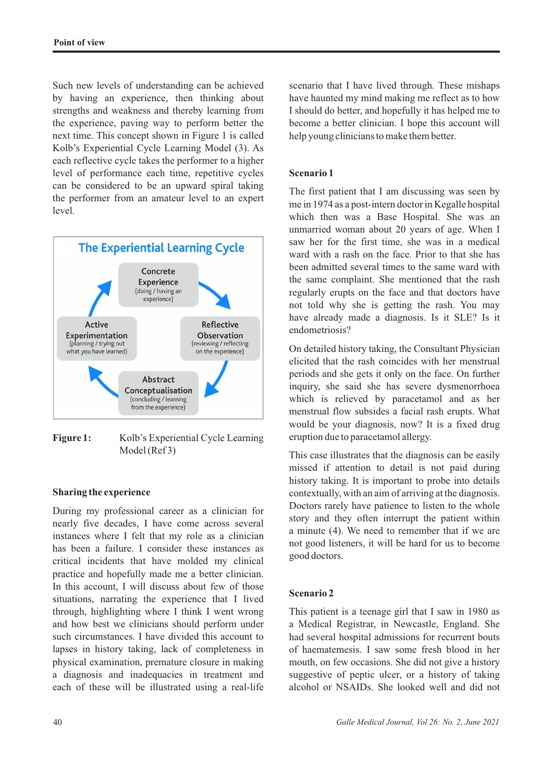Such new levels of understanding can be achieved by having an experience, then thinking about strengths and weakness and thereby learning from the experience, paving way to perform better the next time. This concept shown in Figure 1 is called Kolb's Experiential Cycle Learning Model (3). As each reflective cycle takes the performer to a higher level of performance each time, repetitive cycles can be considered to be an upward spiral taking the performer from an amateur level to an expert level.



Figure 1: Kolb's Experiential Cycle Learning Model (Ref3)

#### **Sharing the experience**

During my professional career as a clinician for nearly five decades, I have come across several instances where I felt that my role as a clinician has been a failure. I consider these instances as critical incidents that have molded my clinical practice and hopefully made me a better clinician. In this account, I will discuss about few of those situations, narrating the experience that I lived through, highlighting where I think I went wrong and how best we clinicians should perform under such circumstances. I have divided this account to lapses in history taking, lack of completeness in physical examination, premature closure in making a diagnosis and inadequacies in treatment and each of these will be illustrated using a real-life scenario that I have lived through. These mishaps have haunted my mind making me reflect as to how I should do better, and hopefully it has helped me to become a better clinician. I hope this account will help young clinicians to make them better.

## **Scenario 1**

The first patient that I am discussing was seen by me in 1974 as a post-intern doctor in Kegalle hospital which then was a Base Hospital. She was an unmarried woman about 20 years of age. When I saw her for the first time, she was in a medical ward with a rash on the face. Prior to that she has been admitted several times to the same ward with the same complaint. She mentioned that the rash regularly erupts on the face and that doctors have not told why she is getting the rash. You may have already made a diagnosis. Is it SLE? Is it endometriosis?

On detailed history taking, the Consultant Physician elicited that the rash coincides with her menstrual periods and she gets it only on the face. On further inquiry, she said she has severe dysmenorrhoea which is relieved by paracetamol and as her menstrual flow subsides a facial rash erupts. What would be your diagnosis, now? It is a fixed drug eruption due to paracetamol allergy.

This case illustrates that the diagnosis can be easily missed if attention to detail is not paid during history taking. It is important to probe into details contextually, with an aim of arriving at the diagnosis. Doctors rarely have patience to listen to the whole story and they often interrupt the patient within a minute (4). We need to remember that if we are not good listeners, it will be hard for us to become good doctors.

#### **Scenario 2**

This patient is a teenage girl that I saw in 1980 as a Medical Registrar, in Newcastle, England. She had several hospital admissions for recurrent bouts of haematemesis. I saw some fresh blood in her mouth, on few occasions. She did not give a history suggestive of peptic ulcer, or a history of taking alcohol or NSAIDs. She looked well and did not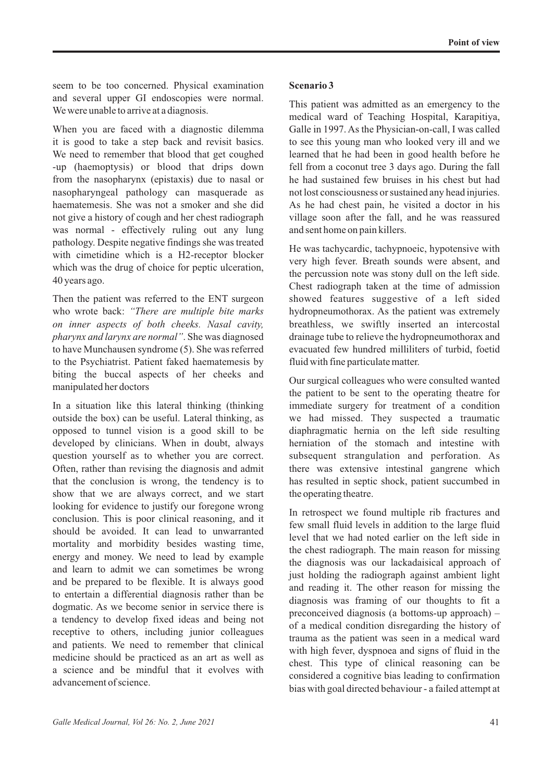seem to be too concerned. Physical examination and several upper GI endoscopies were normal. We were unable to arrive at a diagnosis.

When you are faced with a diagnostic dilemma it is good to take a step back and revisit basics. We need to remember that blood that get coughed -up (haemoptysis) or blood that drips down from the nasopharynx (epistaxis) due to nasal or nasopharyngeal pathology can masquerade as haematemesis. She was not a smoker and she did not give a history of cough and her chest radiograph was normal - effectively ruling out any lung pathology. Despite negative findings she was treated with cimetidine which is a H2-receptor blocker which was the drug of choice for peptic ulceration, 40 years ago.

Then the patient was referred to the ENT surgeon who wrote back: *"There are multiple bite marks on inner aspects of both cheeks. Nasal cavity, pharynx and larynx are normal"*. She was diagnosed to have Munchausen syndrome (5). She was referred to the Psychiatrist. Patient faked haematemesis by biting the buccal aspects of her cheeks and manipulated her doctors

In a situation like this lateral thinking (thinking outside the box) can be useful. Lateral thinking, as opposed to tunnel vision is a good skill to be developed by clinicians. When in doubt, always question yourself as to whether you are correct. Often, rather than revising the diagnosis and admit that the conclusion is wrong, the tendency is to show that we are always correct, and we start looking for evidence to justify our foregone wrong conclusion. This is poor clinical reasoning, and it should be avoided. It can lead to unwarranted mortality and morbidity besides wasting time, energy and money. We need to lead by example and learn to admit we can sometimes be wrong and be prepared to be flexible. It is always good to entertain a differential diagnosis rather than be dogmatic. As we become senior in service there is a tendency to develop fixed ideas and being not receptive to others, including junior colleagues and patients. We need to remember that clinical medicine should be practiced as an art as well as a science and be mindful that it evolves with advancement of science.

#### **Scenario 3**

This patient was admitted as an emergency to the medical ward of Teaching Hospital, Karapitiya, Galle in 1997. As the Physician-on-call, I was called to see this young man who looked very ill and we learned that he had been in good health before he fell from a coconut tree 3 days ago. During the fall he had sustained few bruises in his chest but had not lost consciousness or sustained any head injuries. As he had chest pain, he visited a doctor in his village soon after the fall, and he was reassured and sent home on pain killers.

He was tachycardic, tachypnoeic, hypotensive with very high fever. Breath sounds were absent, and the percussion note was stony dull on the left side. Chest radiograph taken at the time of admission showed features suggestive of a left sided hydropneumothorax. As the patient was extremely breathless, we swiftly inserted an intercostal drainage tube to relieve the hydropneumothorax and evacuated few hundred milliliters of turbid, foetid fluid with fine particulate matter.

Our surgical colleagues who were consulted wanted the patient to be sent to the operating theatre for immediate surgery for treatment of a condition we had missed. They suspected a traumatic diaphragmatic hernia on the left side resulting herniation of the stomach and intestine with subsequent strangulation and perforation. As there was extensive intestinal gangrene which has resulted in septic shock, patient succumbed in the operating theatre.

In retrospect we found multiple rib fractures and few small fluid levels in addition to the large fluid level that we had noted earlier on the left side in the chest radiograph. The main reason for missing the diagnosis was our lackadaisical approach of just holding the radiograph against ambient light and reading it. The other reason for missing the diagnosis was framing of our thoughts to fit a preconceived diagnosis (a bottoms-up approach) – of a medical condition disregarding the history of trauma as the patient was seen in a medical ward with high fever, dyspnoea and signs of fluid in the chest. This type of clinical reasoning can be considered a cognitive bias leading to confirmation bias with goal directed behaviour - a failed attempt at